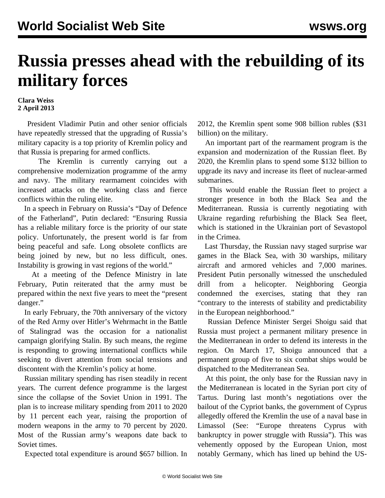## **Russia presses ahead with the rebuilding of its military forces**

## **Clara Weiss 2 April 2013**

 President Vladimir Putin and other senior officials have repeatedly stressed that the upgrading of Russia's military capacity is a top priority of Kremlin policy and that Russia is preparing for armed conflicts.

 The Kremlin is currently carrying out a comprehensive modernization programme of the army and navy. The military rearmament coincides with increased attacks on the working class and fierce conflicts within the ruling elite.

 In a speech in February on Russia's "Day of Defence of the Fatherland", Putin declared: "Ensuring Russia has a reliable military force is the priority of our state policy. Unfortunately, the present world is far from being peaceful and safe. Long obsolete conflicts are being joined by new, but no less difficult, ones. Instability is growing in vast regions of the world."

 At a meeting of the Defence Ministry in late February, Putin reiterated that the army must be prepared within the next five years to meet the "present danger."

 In early February, the 70th anniversary of the victory of the Red Army over Hitler's Wehrmacht in the Battle of Stalingrad was the occasion for a nationalist campaign glorifying Stalin. By such means, the regime is responding to growing international conflicts while seeking to divert attention from social tensions and discontent with the Kremlin's policy at home.

 Russian military spending has risen steadily in recent years. The current defence programme is the largest since the collapse of the Soviet Union in 1991. The plan is to increase military spending from 2011 to 2020 by 11 percent each year, raising the proportion of modern weapons in the army to 70 percent by 2020. Most of the Russian army's weapons date back to Soviet times.

Expected total expenditure is around \$657 billion. In

2012, the Kremlin spent some 908 billion rubles (\$31 billion) on the military.

 An important part of the rearmament program is the expansion and modernization of the Russian fleet. By 2020, the Kremlin plans to spend some \$132 billion to upgrade its navy and increase its fleet of nuclear-armed submarines.

 This would enable the Russian fleet to project a stronger presence in both the Black Sea and the Mediterranean. Russia is currently negotiating with Ukraine regarding refurbishing the Black Sea fleet, which is stationed in the Ukrainian port of Sevastopol in the Crimea.

 Last Thursday, the Russian navy staged surprise war games in the Black Sea, with 30 warships, military aircraft and armored vehicles and 7,000 marines. President Putin personally witnessed the unscheduled drill from a helicopter. Neighboring Georgia condemned the exercises, stating that they ran "contrary to the interests of stability and predictability in the European neighborhood."

 Russian Defence Minister Sergei Shoigu said that Russia must project a permanent military presence in the Mediterranean in order to defend its interests in the region. On March 17, Shoigu announced that a permanent group of five to six combat ships would be dispatched to the Mediterranean Sea.

 At this point, the only base for the Russian navy in the Mediterranean is located in the Syrian port city of Tartus. During last month's negotiations over the bailout of the Cypriot banks, the government of Cyprus allegedly offered the Kremlin the use of a naval base in Limassol (See: "[Europe threatens Cyprus with](/en/articles/2013/03/22/cypr-m22.html) [bankruptcy in power struggle with Russia](/en/articles/2013/03/22/cypr-m22.html)"). This was vehemently opposed by the European Union, most notably Germany, which has lined up behind the US-